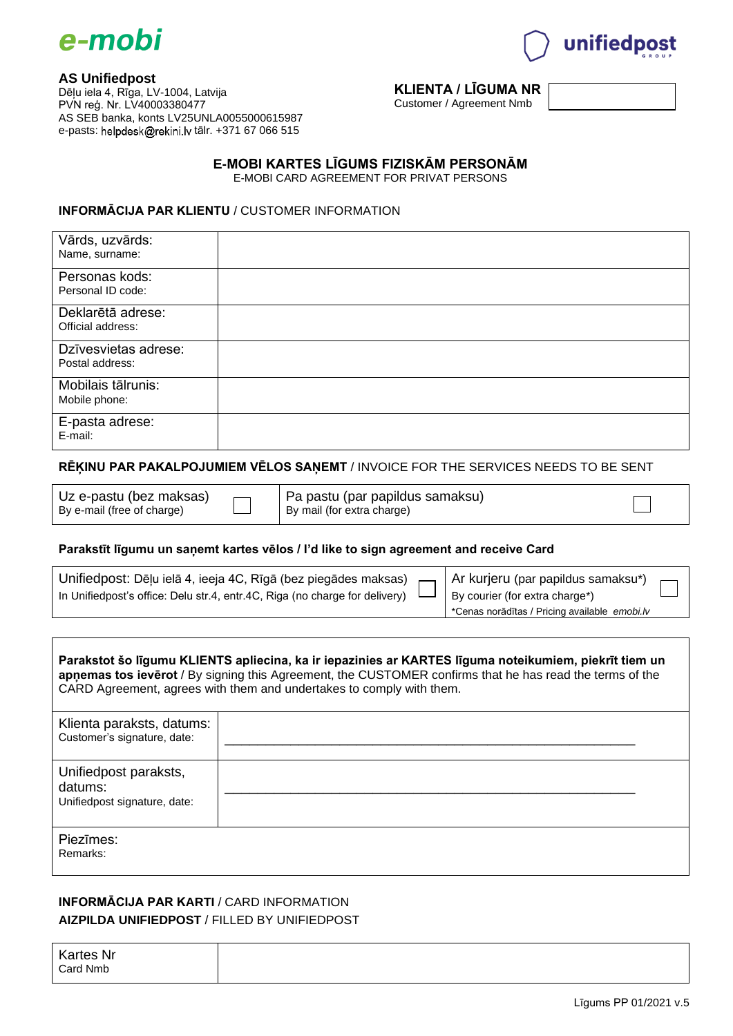



# **AS Unifiedpost**

Dēļu iela 4, Rīga, LV-1004, Latvija PVN reģ. Nr. LV40003380477 AS SEB banka, konts LV25UNLA0055000615987 e-pasts: helpdesk@rekini.lv tālr. +371 67 066 515

# **KLIENTA / LĪGUMA NR**

Customer / Agreement Nmb

## **E-MOBI KARTES LĪGUMS FIZISKĀM PERSONĀM**

E-MOBI CARD AGREEMENT FOR PRIVAT PERSONS

#### **INFORMĀCIJA PAR KLIENTU** / CUSTOMER INFORMATION

| Vārds, uzvārds:<br>Name, surname:       |  |
|-----------------------------------------|--|
| Personas kods:<br>Personal ID code:     |  |
| Deklarētā adrese:<br>Official address:  |  |
| Dzīvesvietas adrese:<br>Postal address: |  |
| Mobilais tālrunis:<br>Mobile phone:     |  |
| E-pasta adrese:<br>E-mail:              |  |

### **RĒĶINU PAR PAKALPOJUMIEM VĒLOS SAŅEMT** / INVOICE FOR THE SERVICES NEEDS TO BE SENT

| Uz e-pastu (bez maksas)    |
|----------------------------|
| By e-mail (free of charge) |

Pa pastu (par papildus samaksu) By mail (for extra charge)

٦

#### **Parakstīt līgumu un saņemt kartes vēlos / I'd like to sign agreement and receive Card**

| Unifiedpost: Dēļu ielā 4, ieeja 4C, Rīgā (bez piegādes maksas) $\Box$ Ar kurjeru (par papildus samaksu*) $\Box$     |                                               |
|---------------------------------------------------------------------------------------------------------------------|-----------------------------------------------|
| In Unifiedpost's office: Delu str.4, entr.4C, Riga (no charge for delivery) $\Box$   By courier (for extra charge*) |                                               |
|                                                                                                                     | *Cenas norādītas / Pricing available emobi.lv |

|                           | Parakstot šo līgumu KLIENTS apliecina, ka ir iepazinies ar KARTES līguma noteikumiem, piekrīt tiem un<br>apnemas tos ieverot / By signing this Agreement, the CUSTOMER confirms that he has read the terms of the<br>CARD Agreement, agrees with them and undertakes to comply with them. |
|---------------------------|-------------------------------------------------------------------------------------------------------------------------------------------------------------------------------------------------------------------------------------------------------------------------------------------|
| Klienta naraksts, datums: |                                                                                                                                                                                                                                                                                           |

| <i>i indrina paranolo, adidirio.</i><br>Customer's signature, date: |  |
|---------------------------------------------------------------------|--|
| Unifiedpost paraksts,<br>datums:<br>Unifiedpost signature, date:    |  |
| Piezīmes:<br>Remarks:                                               |  |

# **INFORMĀCIJA PAR KARTI** / CARD INFORMATION **AIZPILDA UNIFIEDPOST** / FILLED BY UNIFIEDPOST

Kartes Nr Card Nmb